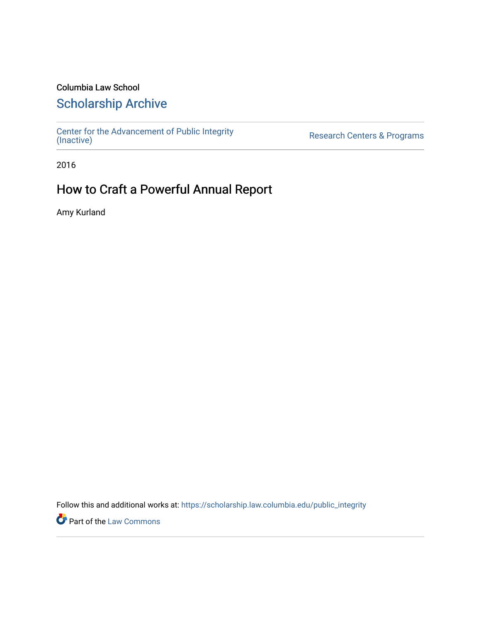### Columbia Law School

## [Scholarship Archive](https://scholarship.law.columbia.edu/)

[Center for the Advancement of Public Integrity](https://scholarship.law.columbia.edu/public_integrity)<br>(Inactive)

Research Centers & Programs

2016

## How to Craft a Powerful Annual Report

Amy Kurland

Follow this and additional works at: [https://scholarship.law.columbia.edu/public\\_integrity](https://scholarship.law.columbia.edu/public_integrity?utm_source=scholarship.law.columbia.edu%2Fpublic_integrity%2F76&utm_medium=PDF&utm_campaign=PDFCoverPages)

**Part of the [Law Commons](http://network.bepress.com/hgg/discipline/578?utm_source=scholarship.law.columbia.edu%2Fpublic_integrity%2F76&utm_medium=PDF&utm_campaign=PDFCoverPages)**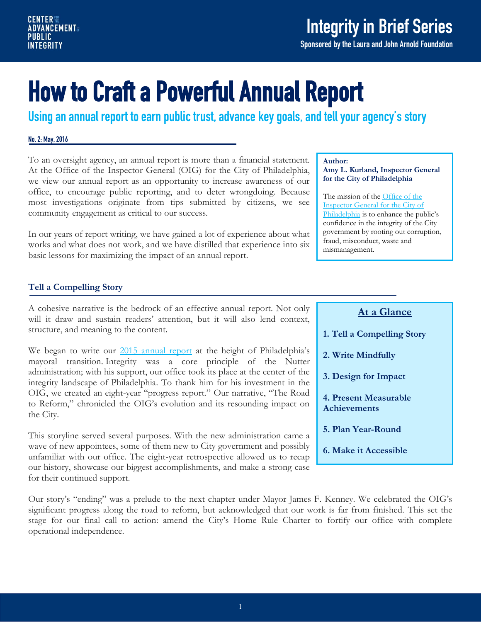Sponsored by the Laura and John Arnold Foundation

# How to Craft a Powerful Annual Report

Using an annual report to earn public trust, advance key goals, and tell your agency's story

#### No. 2: May, 2016

To an oversight agency, an annual report is more than a financial statement. At the Office of the Inspector General (OIG) for the City of Philadelphia, we view our annual report as an opportunity to increase awareness of our office, to encourage public reporting, and to deter wrongdoing. Because most investigations originate from tips submitted by citizens, we see community engagement as critical to our success.

In our years of report writing, we have gained a lot of experience about what works and what does not work, and we have distilled that experience into six basic lessons for maximizing the impact of an annual report.

#### **Tell a Compelling Story**

A cohesive narrative is the bedrock of an effective annual report. Not only will it draw and sustain readers' attention, but it will also lend context, structure, and meaning to the content.

We began to write our [2015 annual report](http://www.phila.gov/ig/Report/OIG%20ANNUAL%20REPORT%202015.pdf) at the height of Philadelphia's mayoral transition. Integrity was a core principle of the Nutter administration; with his support, our office took its place at the center of the integrity landscape of Philadelphia. To thank him for his investment in the OIG, we created an eight-year "progress report." Our narrative, "The Road to Reform," chronicled the OIG's evolution and its resounding impact on the City.

This storyline served several purposes. With the new administration came a wave of new appointees, some of them new to City government and possibly unfamiliar with our office. The eight-year retrospective allowed us to recap our history, showcase our biggest accomplishments, and make a strong case for their continued support.

#### **Author:**

**Amy L. Kurland, Inspector General for the City of Philadelphia**

The mission of the [Office of the](http://www.phila.gov/ig/AboutUs/Pages/default.aspx)  [Inspector General for the City of](http://www.phila.gov/ig/AboutUs/Pages/default.aspx)  [Philadelphia](http://www.phila.gov/ig/AboutUs/Pages/default.aspx) is to enhance the public's confidence in the integrity of the City government by rooting out corruption, fraud, misconduct, waste and mismanagement.

#### **At a Glance**

- **1. Tell a Compelling Story**
- **2. Write Mindfully**
- **3. Design for Impact**
- **4. Present Measurable Achievements**
- **5. Plan Year-Round**
- **6. Make it Accessible**

Our story's "ending" was a prelude to the next chapter under Mayor James F. Kenney. We celebrated the OIG's significant progress along the road to reform, but acknowledged that our work is far from finished. This set the stage for our final call to action: amend the City's Home Rule Charter to fortify our office with complete operational independence.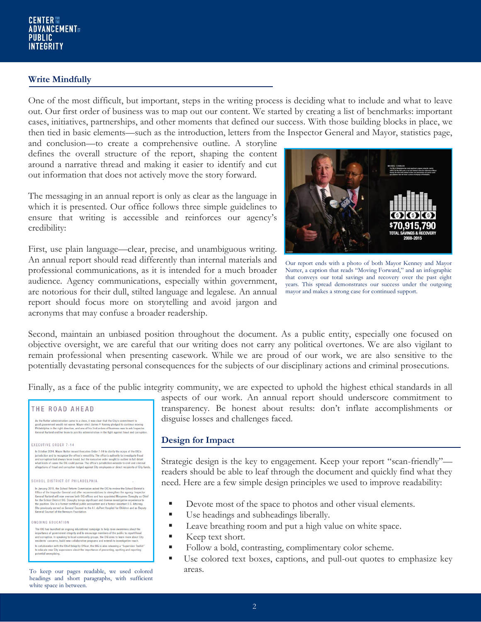#### **Write Mindfully**

One of the most difficult, but important, steps in the writing process is deciding what to include and what to leave out. Our first order of business was to map out our content. We started by creating a list of benchmarks: important cases, initiatives, partnerships, and other moments that defined our success. With those building blocks in place, we then tied in basic elements—such as the introduction, letters from the Inspector General and Mayor, statistics page,

and conclusion—to create a comprehensive outline. A storyline defines the overall structure of the report, shaping the content around a narrative thread and making it easier to identify and cut out information that does not actively move the story forward.

The messaging in an annual report is only as clear as the language in which it is presented. Our office follows three simple guidelines to ensure that writing is accessible and reinforces our agency's credibility:

First, use plain language—clear, precise, and unambiguous writing. An annual report should read differently than internal materials and professional communications, as it is intended for a much broader audience. Agency communications, especially within government, are notorious for their dull, stilted language and legalese. An annual report should focus more on storytelling and avoid jargon and acronyms that may confuse a broader readership.



Our report ends with a photo of both Mayor Kenney and Mayor Nutter, a caption that reads "Moving Forward," and an infographic that conveys our total savings and recovery over the past eight years. This spread demonstrates our success under the outgoing mayor and makes a strong case for continued support.

Second, maintain an unbiased position throughout the document. As a public entity, especially one focused on objective oversight, we are careful that our writing does not carry any political overtones. We are also vigilant to remain professional when presenting casework. While we are proud of our work, we are also sensitive to the potentially devastating personal consequences for the subjects of our disciplinary actions and criminal prosecutions.

Finally, as a face of the public integrity community, we are expected to uphold the highest ethical standards in all

#### THE ROAD AHEAD

As the Nutter administration came to a close, it was clear that the City's commitment to orapod government would not waver. Mayor-elect Aimnes Philadelphia in the right direction, and one of his first clear to funders of

#### EXECUTIVE ORDER 7-14

In October 2014. Mayor Nutter issued Executive Order 7-14 to clarify the scope of the OIG's In to<br>conserve that the office's vertaility. The differs is authority to investigate fraud<br>givinalization and to recognize the office's vertaility. The differs is authority to investigate fraud<br>and corruption had always b

**SCHOOL DISTRICT OF PHILADELPHIA** 

In January 2015, the School Reform Commission asked the OIG to review the School District's In Jamary 2015, the School Reform Commission saked the 01G to review the School Distinction of the rappert of Renetation and offer recommendations to strengthen the appare (inspector General Markow worese both Olic office

ONGOING EDUCATION

The OIG has launched an ongoing educational campaign to help raise awareness about the importance of government integrity and to encourage members of the public to report fraud and corruption. In speaking to local communi In collaboration with the Chief Integrity Officer, the OIG is also releasing a "Supervisor Toolkit' to educate new City supervisors about the importance of preventing, spotting and reporting potential wrongdoing.

To keep our pages readable, we used colored areas. headings and short paragraphs, with sufficient white space in between.

aspects of our work. An annual report should underscore commitment to transparency. Be honest about results: don't inflate accomplishments or disguise losses and challenges faced.

#### **Design for Impact**

Strategic design is the key to engagement. Keep your report "scan-friendly" readers should be able to leaf through the document and quickly find what they need. Here are a few simple design principles we used to improve readability:

- Devote most of the space to photos and other visual elements.
- Use headings and subheadings liberally.
- **Leave breathing room and put a high value on white space.**
- $\blacksquare$  Keep text short.
- Follow a bold, contrasting, complimentary color scheme.
- Use colored text boxes, captions, and pull-out quotes to emphasize key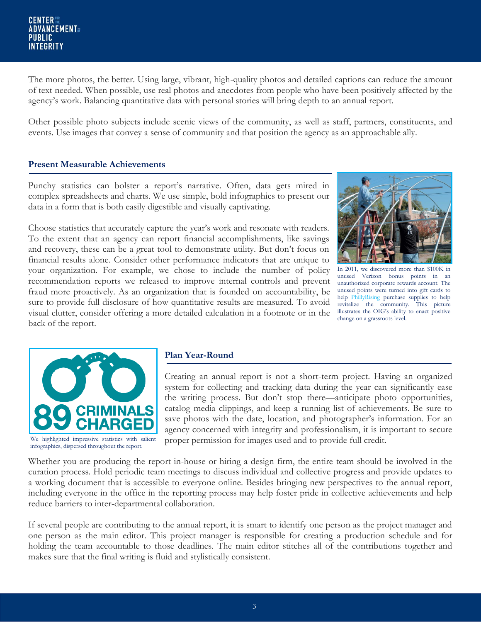The more photos, the better. Using large, vibrant, high-quality photos and detailed captions can reduce the amount of text needed. When possible, use real photos and anecdotes from people who have been positively affected by the agency's work. Balancing quantitative data with personal stories will bring depth to an annual report.

Other possible photo subjects include scenic views of the community, as well as staff, partners, constituents, and events. Use images that convey a sense of community and that position the agency as an approachable ally.

#### **Present Measurable Achievements**

Punchy statistics can bolster a report's narrative. Often, data gets mired in complex spreadsheets and charts. We use simple, bold infographics to present our data in a form that is both easily digestible and visually captivating.

Choose statistics that accurately capture the year's work and resonate with readers. To the extent that an agency can report financial accomplishments, like savings and recovery, these can be a great tool to demonstrate utility. But don't focus on financial results alone. Consider other performance indicators that are unique to your organization. For example, we chose to include the number of policy recommendation reports we released to improve internal controls and prevent fraud more proactively. As an organization that is founded on accountability, be sure to provide full disclosure of how quantitative results are measured. To avoid visual clutter, consider offering a more detailed calculation in a footnote or in the back of the report.



In 2011, we discovered more than \$100K in unused Verizon bonus points in an unauthorized corporate rewards account. The unused points were turned into gift cards to help [PhillyRising](http://www.phila.gov/phillyrising/index.html) purchase supplies to help revitalize the community. This picture illustrates the OIG's ability to enact positive change on a grassroots level.



We highlighted impressive statistics with salient infographics, dispersed throughout the report.

#### **Plan Year-Round**

Creating an annual report is not a short-term project. Having an organized system for collecting and tracking data during the year can significantly ease the writing process. But don't stop there—anticipate photo opportunities, catalog media clippings, and keep a running list of achievements. Be sure to save photos with the date, location, and photographer's information. For an agency concerned with integrity and professionalism, it is important to secure proper permission for images used and to provide full credit.

Whether you are producing the report in-house or hiring a design firm, the entire team should be involved in the curation process. Hold periodic team meetings to discuss individual and collective progress and provide updates to a working document that is accessible to everyone online. Besides bringing new perspectives to the annual report, including everyone in the office in the reporting process may help foster pride in collective achievements and help reduce barriers to inter-departmental collaboration.

If several people are contributing to the annual report, it is smart to identify one person as the project manager and one person as the main editor. This project manager is responsible for creating a production schedule and for holding the team accountable to those deadlines. The main editor stitches all of the contributions together and makes sure that the final writing is fluid and stylistically consistent.